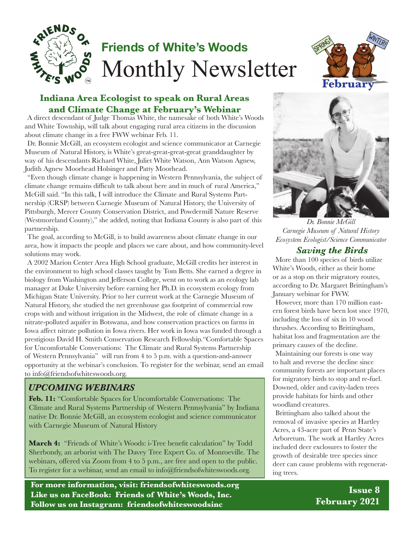

# **Friends of White's Woods** Monthly Newsletter

### **Indiana Area Ecologist to speak on Rural Areas and Climate Change at February's Webinar**

A direct descendant of Judge Thomas White, the namesake of both White's Woods and White Township, will talk about engaging rural area citizens in the discussion about climate change in a free FWW webinar Feb. 11.

Dr. Bonnie McGill, an ecosystem ecologist and science communicator at Carnegie Museum of Natural History, is White's great-great-great-great granddaughter by way of his descendants Richard White, Juliet White Watson, Ann Watson Agnew, Judith Agnew Moorhead Holsinger and Patty Moorhead.

"Even though climate change is happening in Western Pennsylvania, the subject of climate change remains difficult to talk about here and in much of rural America," McGill said. "In this talk, I will introduce the Climate and Rural Systems Partnership (CRSP) between Carnegie Museum of Natural History, the University of Pittsburgh, Mercer County Conservation District, and Powdermill Nature Reserve (Westmoreland County)," she added, noting that Indiana County is also part of this partnership.

The goal, according to McGill, is to build awareness about climate change in our area, how it impacts the people and places we care about, and how community-level solutions may work.

A 2002 Marion Center Area High School graduate, McGill credits her interest in the environment to high school classes taught by Tom Betts. She earned a degree in biology from Washington and Jefferson College, went on to work as an ecology lab manager at Duke University before earning her Ph.D. in ecosystem ecology from Michigan State University. Prior to her current work at the Carnegie Museum of Natural History, she studied the net greenhouse gas footprint of commercial row crops with and without irrigation in the Midwest, the role of climate change in a nitrate-polluted aquifer in Botswana, and how conservation practices on farms in Iowa affect nitrate pollution in Iowa rivers. Her work in Iowa was funded through a prestigious David H. Smith Conservation Research Fellowship."Comfortable Spaces for Uncomfortable Conversations: The Climate and Rural Systems Partnership of Western Pennsylvania" will run from 4 to 5 p.m. with a question-and-answer opportunity at the webinar's conclusion. To register for the webinar, send an email to info@friendsofwhiteswoods.org.

### *UPCOMING WEBINARS*

**Feb. 11:** "Comfortable Spaces for Uncomfortable Conversations: The Climate and Rural Systems Partnership of Western Pennsylvania" by Indiana native Dr. Bonnie McGill, an ecosystem ecologist and science communicator with Carnegie Museum of Natural History

**March 4:** "Friends of White's Woods: i-Tree benefit calculation" by Todd Sherbondy, an arborist with The Davey Tree Expert Co. of Monroeville. The webinars, offered via Zoom from 4 to 5 p.m., are free and open to the public. To register for a webinar, send an email to info@friendsofwhiteswoods.org.

**For more information, visit: friendsofwhiteswoods.org Like us on FaceBook: Friends of White's Woods, Inc. Follow us on Instagram: friendsofwhiteswoodsinc**





*Dr. Bonnie McGill Carnegie Museum of Natural History Ecosystem Ecologist/Science Communicator*

#### *Saving the Birds*

More than 100 species of birds utilize White's Woods, either as their home or as a stop on their migratory routes, according to Dr. Margaret Brittingham's January webinar for FWW.

However, more than 170 million eastern forest birds have been lost snce 1970, including the loss of six in 10 wood thrushes. According to Brittingham, habitat loss and fragmentation are the primary causes of the decline.

Maintaining our forests is one way to halt and reverse the decline since community forests are important places for migratory birds to stop and re-fuel. Downed, older and cavity-laden trees provide habitats for birds and other woodland creatures.

Brittingham also talked about the removal of invasive species at Hartley Acres, a 43-acre part of Penn State's Arboretum. The work at Hartley Acres included deer exclosures to foster the growth of desirable tree species since deer can cause problems with regenerating trees.

> **Issue 8 February 2021**